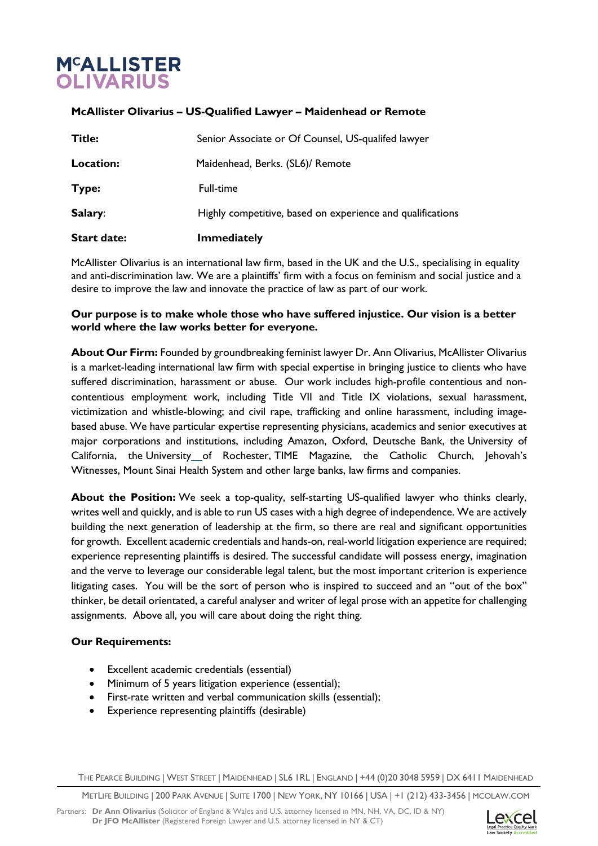## **M<sup>C</sup>ALLISTER OLIVARIUS**

## **McAllister Olivarius – US-Qualified Lawyer – Maidenhead or Remote**

| <b>Start date:</b> | <b>Immediately</b>                                         |
|--------------------|------------------------------------------------------------|
| Salary:            | Highly competitive, based on experience and qualifications |
| Type:              | Full-time                                                  |
| Location:          | Maidenhead, Berks. (SL6)/ Remote                           |
| Title:             | Senior Associate or Of Counsel, US-qualifed lawyer         |

McAllister Olivarius is an international law firm, based in the UK and the U.S., specialising in equality and anti-discrimination law. We are a plaintiffs' firm with a focus on feminism and social justice and a desire to improve the law and innovate the practice of law as part of our work.

## **Our purpose is to make whole those who have suffered injustice. Our vision is a better world where the law works better for everyone.**

**About Our Firm:** Founded by groundbreaking feminist lawyer Dr. Ann Olivarius, McAllister Olivarius is a market-leading international law firm with special expertise in bringing justice to clients who have suffered discrimination, harassment or abuse. Our work includes high-profile contentious and noncontentious employment work, including Title VII and Title IX violations, sexual harassment, victimization and whistle-blowing; and civil rape, trafficking and online harassment, including imagebased abuse. We have particular expertise representing physicians, academics and senior executives at major corporations and institutions, including Amazon, Oxford, Deutsche Bank, the University of California, the University of Rochester, TIME Magazine, the Catholic Church, Jehovah's Witnesses, Mount Sinai Health System and other large banks, law firms and companies.

**About the Position:** We seek a top-quality, self-starting US-qualified lawyer who thinks clearly, writes well and quickly, and is able to run US cases with a high degree of independence. We are actively building the next generation of leadership at the firm, so there are real and significant opportunities for growth. Excellent academic credentials and hands-on, real-world litigation experience are required; experience representing plaintiffs is desired. The successful candidate will possess energy, imagination and the verve to leverage our considerable legal talent, but the most important criterion is experience litigating cases. You will be the sort of person who is inspired to succeed and an "out of the box" thinker, be detail orientated, a careful analyser and writer of legal prose with an appetite for challenging assignments. Above all, you will care about doing the right thing.

## **Our Requirements:**

- Excellent academic credentials (essential)
- Minimum of 5 years litigation experience (essential);
- First-rate written and verbal communication skills (essential);
- Experience representing plaintiffs (desirable)

THE PEARCE BUILDING | WEST STREET | MAIDENHEAD | SL6 1RL | ENGLAND | +44 (0)20 3048 5959 | DX 6411 MAIDENHEAD

METLIFE BUILDING | 200 PARK AVENUE | SUITE 1700 | NEW YORK, NY 10166 | USA | +1 (212) 433-3456 | MCOLAW.COM